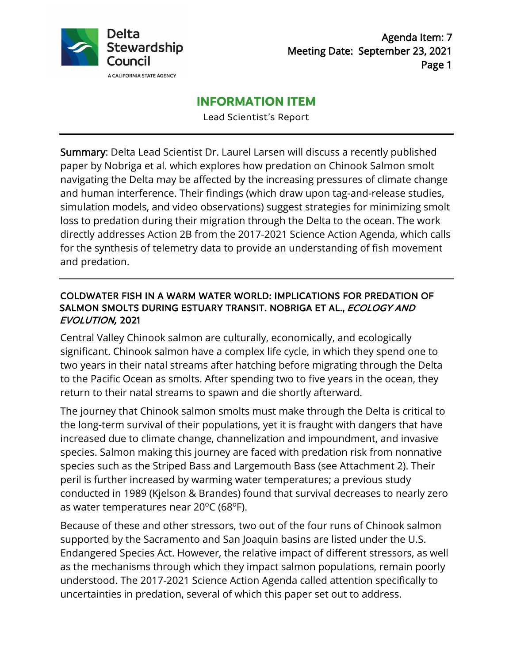

## **INFORMATION ITEM**

Lead Scientist's Report

Summary: Delta Lead Scientist Dr. Laurel Larsen will discuss a recently published paper by Nobriga et al. which explores how predation on Chinook Salmon smolt navigating the Delta may be affected by the increasing pressures of climate change and human interference. Their findings (which draw upon tag-and-release studies, simulation models, and video observations) suggest strategies for minimizing smolt loss to predation during their migration through the Delta to the ocean. The work directly addresses Action 2B from the 2017-2021 Science Action Agenda, which calls for the synthesis of telemetry data to provide an understanding of fish movement and predation.

#### COLDWATER FISH IN A WARM WATER WORLD: IMPLICATIONS FOR PREDATION OF SALMON SMOLTS DURING ESTUARY TRANSIT. NOBRIGA ET AL., ECOLOGY AND EVOLUTION, 2021

Central Valley Chinook salmon are culturally, economically, and ecologically significant. Chinook salmon have a complex life cycle, in which they spend one to two years in their natal streams after hatching before migrating through the Delta to the Pacific Ocean as smolts. After spending two to five years in the ocean, they return to their natal streams to spawn and die shortly afterward.

The journey that Chinook salmon smolts must make through the Delta is critical to the long-term survival of their populations, yet it is fraught with dangers that have increased due to climate change, channelization and impoundment, and invasive species. Salmon making this journey are faced with predation risk from nonnative species such as the Striped Bass and Largemouth Bass (see Attachment 2). Their peril is further increased by warming water temperatures; a previous study conducted in 1989 (Kjelson & Brandes) found that survival decreases to nearly zero as water temperatures near 20°C (68°F).

Because of these and other stressors, two out of the four runs of Chinook salmon supported by the Sacramento and San Joaquin basins are listed under the U.S. Endangered Species Act. However, the relative impact of different stressors, as well as the mechanisms through which they impact salmon populations, remain poorly understood. The 2017-2021 Science Action Agenda called attention specifically to uncertainties in predation, several of which this paper set out to address.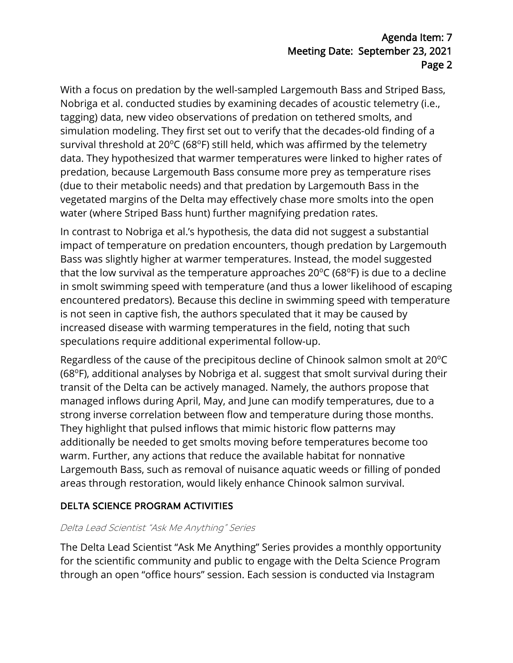With a focus on predation by the well-sampled Largemouth Bass and Striped Bass, Nobriga et al. conducted studies by examining decades of acoustic telemetry (i.e., tagging) data, new video observations of predation on tethered smolts, and simulation modeling. They first set out to verify that the decades-old finding of a survival threshold at  $20^{\circ}$ C (68 $^{\circ}$ F) still held, which was affirmed by the telemetry data. They hypothesized that warmer temperatures were linked to higher rates of predation, because Largemouth Bass consume more prey as temperature rises (due to their metabolic needs) and that predation by Largemouth Bass in the vegetated margins of the Delta may effectively chase more smolts into the open water (where Striped Bass hunt) further magnifying predation rates.

In contrast to Nobriga et al.'s hypothesis, the data did not suggest a substantial impact of temperature on predation encounters, though predation by Largemouth Bass was slightly higher at warmer temperatures. Instead, the model suggested that the low survival as the temperature approaches 20°C (68°F) is due to a decline in smolt swimming speed with temperature (and thus a lower likelihood of escaping encountered predators). Because this decline in swimming speed with temperature is not seen in captive fish, the authors speculated that it may be caused by increased disease with warming temperatures in the field, noting that such speculations require additional experimental follow-up.

Regardless of the cause of the precipitous decline of Chinook salmon smolt at 20°C (68°F), additional analyses by Nobriga et al. suggest that smolt survival during their transit of the Delta can be actively managed. Namely, the authors propose that managed inflows during April, May, and June can modify temperatures, due to a strong inverse correlation between flow and temperature during those months. They highlight that pulsed inflows that mimic historic flow patterns may additionally be needed to get smolts moving before temperatures become too warm. Further, any actions that reduce the available habitat for nonnative Largemouth Bass, such as removal of nuisance aquatic weeds or filling of ponded areas through restoration, would likely enhance Chinook salmon survival.

## DELTA SCIENCE PROGRAM ACTIVITIES

#### Delta Lead Scientist "Ask Me Anything" Series

The Delta Lead Scientist "Ask Me Anything" Series provides a monthly opportunity for the scientific community and public to engage with the Delta Science Program through an open "office hours" session. Each session is conducted via Instagram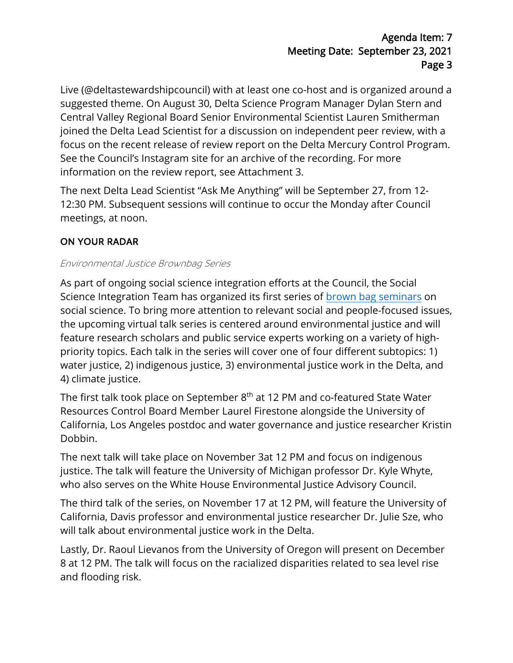Live (@deltastewardshipcouncil) with at least one co-host and is organized around a suggested theme. On August 30, Delta Science Program Manager Dylan Stern and Central Valley Regional Board Senior Environmental Scientist Lauren Smitherman joined the Delta Lead Scientist for a discussion on independent peer review, with a focus on the recent release of review report on the Delta Mercury Control Program. See the Council's Instagram site for an archive of the recording. For more information on the review report, see Attachment 3.

The next Delta Lead Scientist "Ask Me Anything" will be September 27, from 12- 12:30 PM. Subsequent sessions will continue to occur the Monday after Council meetings, at noon.

# ON YOUR RADAR

#### Environmental Justice Brownbag Series

As part of ongoing social science integration efforts at the Council, the Social Science Integration Team has organized its first series of brown [bag seminars](https://caseagrant.ucsd.edu/events/webinar-water-justice) on social science. To bring more attention to relevant social and people-focused issues, the upcoming virtual talk series is centered around environmental justice and will feature research scholars and public service experts working on a variety of highpriority topics. Each talk in the series will cover one of four different subtopics: 1) water justice, 2) indigenous justice, 3) environmental justice work in the Delta, and 4) climate justice.

The first talk took place on September 8<sup>th</sup> at 12 PM and co-featured State Water Resources Control Board Member Laurel Firestone alongside the University of California, Los Angeles postdoc and water governance and justice researcher Kristin Dobbin.

The next talk will take place on November 3at 12 PM and focus on indigenous justice. The talk will feature the University of Michigan professor Dr. Kyle Whyte, who also serves on the White House Environmental Justice Advisory Council.

The third talk of the series, on November 17 at 12 PM, will feature the University of California, Davis professor and environmental justice researcher Dr. Julie Sze, who will talk about environmental justice work in the Delta.

Lastly, Dr. Raoul Lievanos from the University of Oregon will present on December 8 at 12 PM. The talk will focus on the racialized disparities related to sea level rise and flooding risk.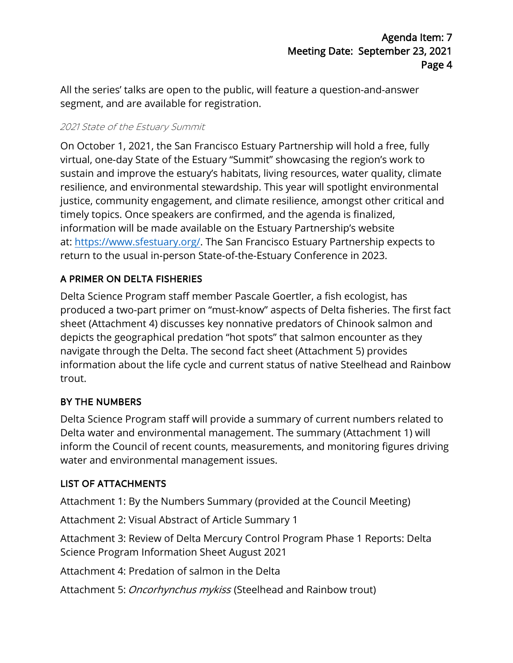All the series' talks are open to the public, will feature a question-and-answer segment, and are available for registration.

#### 2021 State of the Estuary Summit

On October 1, 2021, the San Francisco Estuary Partnership will hold a free, fully virtual, one-day State of the Estuary "Summit" showcasing the region's work to sustain and improve the estuary's habitats, living resources, water quality, climate resilience, and environmental stewardship. This year will spotlight environmental justice, community engagement, and climate resilience, amongst other critical and timely topics. Once speakers are confirmed, and the agenda is finalized, information will be made available on the Estuary Partnership's website at: [https://www.sfestuary.org/.](https://www.sfestuary.org/) The San Francisco Estuary Partnership expects to return to the usual in-person State-of-the-Estuary Conference in 2023.

## A PRIMER ON DELTA FISHERIES

Delta Science Program staff member Pascale Goertler, a fish ecologist, has produced a two-part primer on "must-know" aspects of Delta fisheries. The first fact sheet (Attachment 4) discusses key nonnative predators of Chinook salmon and depicts the geographical predation "hot spots" that salmon encounter as they navigate through the Delta. The second fact sheet (Attachment 5) provides information about the life cycle and current status of native Steelhead and Rainbow trout.

## BY THE NUMBERS

Delta Science Program staff will provide a summary of current numbers related to Delta water and environmental management. The summary (Attachment 1) will inform the Council of recent counts, measurements, and monitoring figures driving water and environmental management issues.

## LIST OF ATTACHMENTS

Attachment 1: By the Numbers Summary (provided at the Council Meeting)

Attachment 2: Visual Abstract of Article Summary 1

Attachment 3: Review of Delta Mercury Control Program Phase 1 Reports: Delta Science Program Information Sheet August 2021

Attachment 4: Predation of salmon in the Delta

Attachment 5: Oncorhynchus mykiss (Steelhead and Rainbow trout)